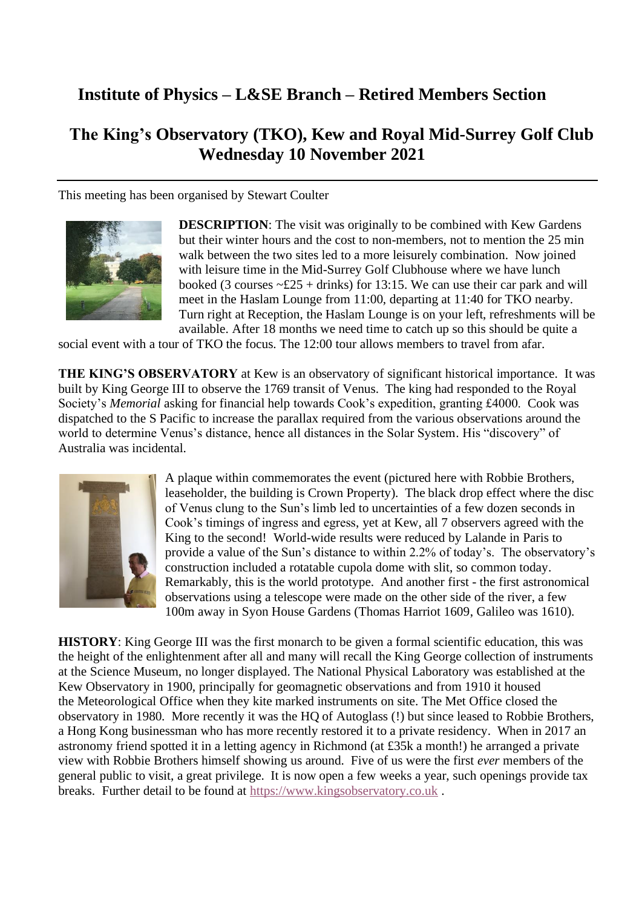## **Institute of Physics – L&SE Branch – Retired Members Section**

## **The King's Observatory (TKO), Kew and Royal Mid-Surrey Golf Club Wednesday 10 November 2021**

This meeting has been organised by Stewart Coulter



**DESCRIPTION**: The visit was originally to be combined with Kew Gardens but their winter hours and the cost to non-members, not to mention the 25 min walk between the two sites led to a more leisurely combination. Now joined with leisure time in the Mid-Surrey Golf Clubhouse where we have lunch booked (3 courses  $\sim$ £25 + drinks) for 13:15. We can use their car park and will meet in the Haslam Lounge from 11:00, departing at 11:40 for TKO nearby. Turn right at Reception, the Haslam Lounge is on your left, refreshments will be available. After 18 months we need time to catch up so this should be quite a

social event with a tour of TKO the focus. The 12:00 tour allows members to travel from afar.

**THE KING'S OBSERVATORY** at Kew is an observatory of significant historical importance. It was built by King George III to observe the 1769 transit of Venus. The king had responded to the Royal Society's *Memorial* asking for financial help towards Cook's expedition, granting £4000. Cook was dispatched to the S Pacific to increase the parallax required from the various observations around the world to determine Venus's distance, hence all distances in the Solar System. His "discovery" of Australia was incidental.



A plaque within commemorates the event (pictured here with Robbie Brothers, leaseholder, the building is Crown Property). The black drop effect where the disc of Venus clung to the Sun's limb led to uncertainties of a few dozen seconds in Cook's timings of ingress and egress, yet at Kew, all 7 observers agreed with the King to the second! World-wide results were reduced by Lalande in Paris to provide a value of the Sun's distance to within 2.2% of today's. The observatory's construction included a rotatable cupola dome with slit, so common today. Remarkably, this is the world prototype. And another first - the first astronomical observations using a telescope were made on the other side of the river, a few 100m away in Syon House Gardens (Thomas Harriot 1609, Galileo was 1610).

**HISTORY**: King George III was the first monarch to be given a formal scientific education, this was the height of the enlightenment after all and many will recall the King George collection of instruments at the Science Museum, no longer displayed. The [National Physical Laboratory](https://en.wikipedia.org/wiki/National_Physical_Laboratory_(United_Kingdom)) was established at the Kew Observatory in 1900, principally for geomagnetic observations and from 1910 it housed the [Meteorological Office](https://en.wikipedia.org/wiki/Met_Office) when they kite marked instruments on site. The Met Office closed the observatory in 1980. More recently it was the HQ of Autoglass (!) but since leased to Robbie Brothers, a Hong Kong businessman who has more recently restored it to a private residency. When in 2017 an astronomy friend spotted it in a letting agency in Richmond (at £35k a month!) he arranged a private view with Robbie Brothers himself showing us around. Five of us were the first *ever* members of the general public to visit, a great privilege. It is now open a few weeks a year, such openings provide tax breaks. Further detail to be found at [https://www.kingsobservatory.co.uk](https://www.kingsobservatory.co.uk/) .